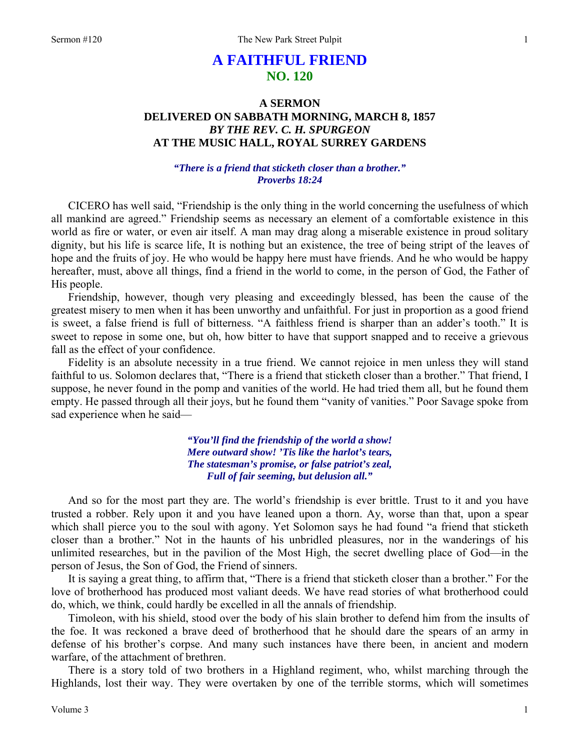# **A FAITHFUL FRIEND NO. 120**

## **A SERMON DELIVERED ON SABBATH MORNING, MARCH 8, 1857**  *BY THE REV. C. H. SPURGEON*  **AT THE MUSIC HALL, ROYAL SURREY GARDENS**

## *"There is a friend that sticketh closer than a brother." Proverbs 18:24*

CICERO has well said, "Friendship is the only thing in the world concerning the usefulness of which all mankind are agreed." Friendship seems as necessary an element of a comfortable existence in this world as fire or water, or even air itself. A man may drag along a miserable existence in proud solitary dignity, but his life is scarce life, It is nothing but an existence, the tree of being stript of the leaves of hope and the fruits of joy. He who would be happy here must have friends. And he who would be happy hereafter, must, above all things, find a friend in the world to come, in the person of God, the Father of His people.

Friendship, however, though very pleasing and exceedingly blessed, has been the cause of the greatest misery to men when it has been unworthy and unfaithful. For just in proportion as a good friend is sweet, a false friend is full of bitterness. "A faithless friend is sharper than an adder's tooth." It is sweet to repose in some one, but oh, how bitter to have that support snapped and to receive a grievous fall as the effect of your confidence.

Fidelity is an absolute necessity in a true friend. We cannot rejoice in men unless they will stand faithful to us. Solomon declares that, "There is a friend that sticketh closer than a brother." That friend, I suppose, he never found in the pomp and vanities of the world. He had tried them all, but he found them empty. He passed through all their joys, but he found them "vanity of vanities." Poor Savage spoke from sad experience when he said—

> *"You'll find the friendship of the world a show! Mere outward show! 'Tis like the harlot's tears, The statesman's promise, or false patriot's zeal, Full of fair seeming, but delusion all."*

And so for the most part they are. The world's friendship is ever brittle. Trust to it and you have trusted a robber. Rely upon it and you have leaned upon a thorn. Ay, worse than that, upon a spear which shall pierce you to the soul with agony. Yet Solomon says he had found "a friend that sticketh closer than a brother." Not in the haunts of his unbridled pleasures, nor in the wanderings of his unlimited researches, but in the pavilion of the Most High, the secret dwelling place of God—in the person of Jesus, the Son of God, the Friend of sinners.

It is saying a great thing, to affirm that, "There is a friend that sticketh closer than a brother." For the love of brotherhood has produced most valiant deeds. We have read stories of what brotherhood could do, which, we think, could hardly be excelled in all the annals of friendship.

Timoleon, with his shield, stood over the body of his slain brother to defend him from the insults of the foe. It was reckoned a brave deed of brotherhood that he should dare the spears of an army in defense of his brother's corpse. And many such instances have there been, in ancient and modern warfare, of the attachment of brethren.

There is a story told of two brothers in a Highland regiment, who, whilst marching through the Highlands, lost their way. They were overtaken by one of the terrible storms, which will sometimes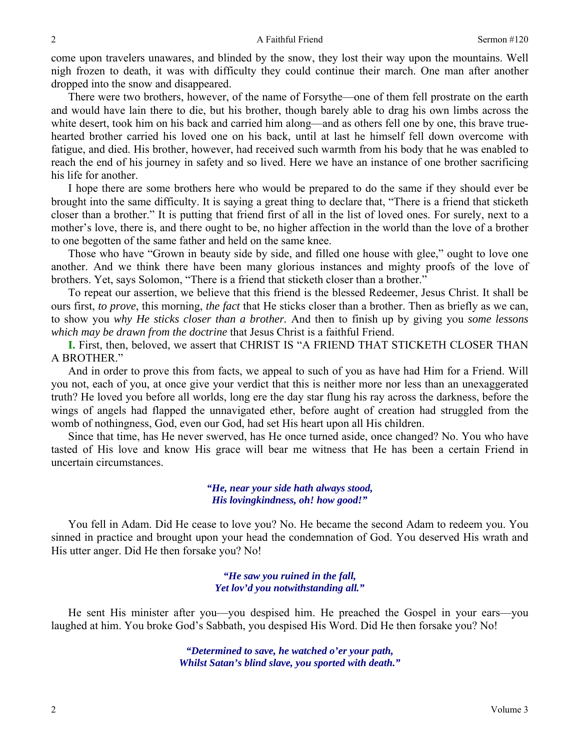come upon travelers unawares, and blinded by the snow, they lost their way upon the mountains. Well nigh frozen to death, it was with difficulty they could continue their march. One man after another dropped into the snow and disappeared.

There were two brothers, however, of the name of Forsythe—one of them fell prostrate on the earth and would have lain there to die, but his brother, though barely able to drag his own limbs across the white desert, took him on his back and carried him along—and as others fell one by one, this brave truehearted brother carried his loved one on his back, until at last he himself fell down overcome with fatigue, and died. His brother, however, had received such warmth from his body that he was enabled to reach the end of his journey in safety and so lived. Here we have an instance of one brother sacrificing his life for another.

I hope there are some brothers here who would be prepared to do the same if they should ever be brought into the same difficulty. It is saying a great thing to declare that, "There is a friend that sticketh closer than a brother." It is putting that friend first of all in the list of loved ones. For surely, next to a mother's love, there is, and there ought to be, no higher affection in the world than the love of a brother to one begotten of the same father and held on the same knee.

Those who have "Grown in beauty side by side, and filled one house with glee," ought to love one another. And we think there have been many glorious instances and mighty proofs of the love of brothers. Yet, says Solomon, "There is a friend that sticketh closer than a brother."

To repeat our assertion, we believe that this friend is the blessed Redeemer, Jesus Christ. It shall be ours first, *to prove*, this morning, *the fact* that He sticks closer than a brother. Then as briefly as we can, to show you *why He sticks closer than a brother.* And then to finish up by giving you *some lessons which may be drawn from the doctrine* that Jesus Christ is a faithful Friend.

**I.** First, then, beloved, we assert that CHRIST IS "A FRIEND THAT STICKETH CLOSER THAN A BROTHER."

And in order to prove this from facts, we appeal to such of you as have had Him for a Friend. Will you not, each of you, at once give your verdict that this is neither more nor less than an unexaggerated truth? He loved you before all worlds, long ere the day star flung his ray across the darkness, before the wings of angels had flapped the unnavigated ether, before aught of creation had struggled from the womb of nothingness, God, even our God, had set His heart upon all His children.

Since that time, has He never swerved, has He once turned aside, once changed? No. You who have tasted of His love and know His grace will bear me witness that He has been a certain Friend in uncertain circumstances.

> *"He, near your side hath always stood, His lovingkindness, oh! how good!"*

You fell in Adam. Did He cease to love you? No. He became the second Adam to redeem you. You sinned in practice and brought upon your head the condemnation of God. You deserved His wrath and His utter anger. Did He then forsake you? No!

> *"He saw you ruined in the fall, Yet lov'd you notwithstanding all."*

He sent His minister after you—you despised him. He preached the Gospel in your ears—you laughed at him. You broke God's Sabbath, you despised His Word. Did He then forsake you? No!

> *"Determined to save, he watched o'er your path, Whilst Satan's blind slave, you sported with death."*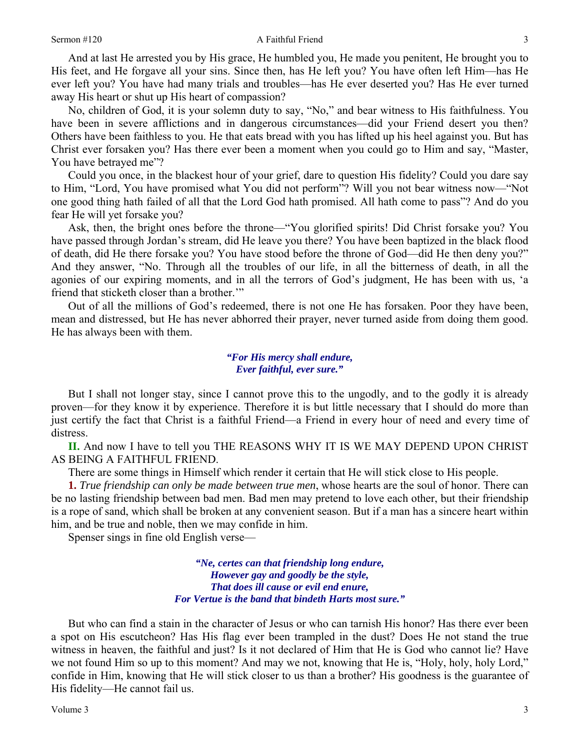And at last He arrested you by His grace, He humbled you, He made you penitent, He brought you to His feet, and He forgave all your sins. Since then, has He left you? You have often left Him—has He ever left you? You have had many trials and troubles—has He ever deserted you? Has He ever turned away His heart or shut up His heart of compassion?

No, children of God, it is your solemn duty to say, "No," and bear witness to His faithfulness. You have been in severe afflictions and in dangerous circumstances—did your Friend desert you then? Others have been faithless to you. He that eats bread with you has lifted up his heel against you. But has Christ ever forsaken you? Has there ever been a moment when you could go to Him and say, "Master, You have betrayed me"?

Could you once, in the blackest hour of your grief, dare to question His fidelity? Could you dare say to Him, "Lord, You have promised what You did not perform"? Will you not bear witness now—"Not one good thing hath failed of all that the Lord God hath promised. All hath come to pass"? And do you fear He will yet forsake you?

Ask, then, the bright ones before the throne—"You glorified spirits! Did Christ forsake you? You have passed through Jordan's stream, did He leave you there? You have been baptized in the black flood of death, did He there forsake you? You have stood before the throne of God—did He then deny you?" And they answer, "No. Through all the troubles of our life, in all the bitterness of death, in all the agonies of our expiring moments, and in all the terrors of God's judgment, He has been with us, 'a friend that sticketh closer than a brother.'"

Out of all the millions of God's redeemed, there is not one He has forsaken. Poor they have been, mean and distressed, but He has never abhorred their prayer, never turned aside from doing them good. He has always been with them.

## *"For His mercy shall endure, Ever faithful, ever sure."*

But I shall not longer stay, since I cannot prove this to the ungodly, and to the godly it is already proven—for they know it by experience. Therefore it is but little necessary that I should do more than just certify the fact that Christ is a faithful Friend—a Friend in every hour of need and every time of distress.

**II.** And now I have to tell you THE REASONS WHY IT IS WE MAY DEPEND UPON CHRIST AS BEING A FAITHFUL FRIEND.

There are some things in Himself which render it certain that He will stick close to His people.

**1.** *True friendship can only be made between true men*, whose hearts are the soul of honor. There can be no lasting friendship between bad men. Bad men may pretend to love each other, but their friendship is a rope of sand, which shall be broken at any convenient season. But if a man has a sincere heart within him, and be true and noble, then we may confide in him.

Spenser sings in fine old English verse—

*"Ne, certes can that friendship long endure, However gay and goodly be the style, That does ill cause or evil end enure, For Vertue is the band that bindeth Harts most sure."* 

But who can find a stain in the character of Jesus or who can tarnish His honor? Has there ever been a spot on His escutcheon? Has His flag ever been trampled in the dust? Does He not stand the true witness in heaven, the faithful and just? Is it not declared of Him that He is God who cannot lie? Have we not found Him so up to this moment? And may we not, knowing that He is, "Holy, holy, holy Lord," confide in Him, knowing that He will stick closer to us than a brother? His goodness is the guarantee of His fidelity—He cannot fail us.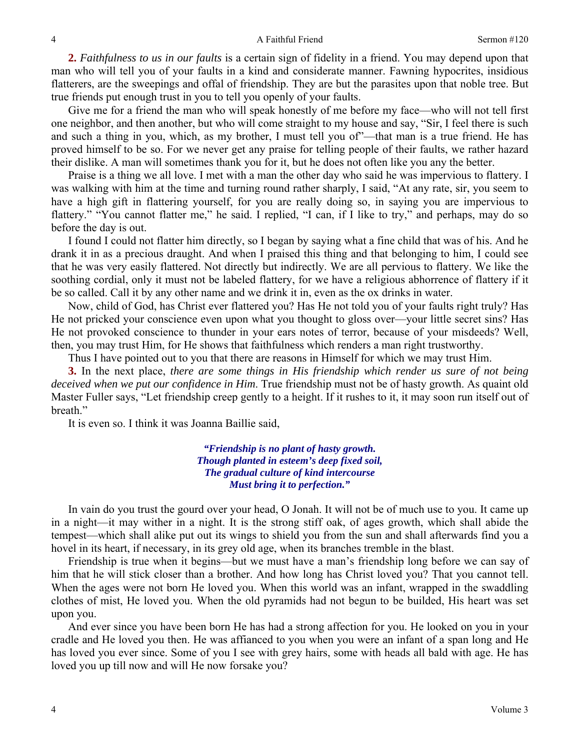**2.** *Faithfulness to us in our faults* is a certain sign of fidelity in a friend. You may depend upon that man who will tell you of your faults in a kind and considerate manner. Fawning hypocrites, insidious flatterers, are the sweepings and offal of friendship. They are but the parasites upon that noble tree. But true friends put enough trust in you to tell you openly of your faults.

Give me for a friend the man who will speak honestly of me before my face—who will not tell first one neighbor, and then another, but who will come straight to my house and say, "Sir, I feel there is such and such a thing in you, which, as my brother, I must tell you of"—that man is a true friend. He has proved himself to be so. For we never get any praise for telling people of their faults, we rather hazard their dislike. A man will sometimes thank you for it, but he does not often like you any the better.

Praise is a thing we all love. I met with a man the other day who said he was impervious to flattery. I was walking with him at the time and turning round rather sharply, I said, "At any rate, sir, you seem to have a high gift in flattering yourself, for you are really doing so, in saying you are impervious to flattery." "You cannot flatter me," he said. I replied, "I can, if I like to try," and perhaps, may do so before the day is out.

I found I could not flatter him directly, so I began by saying what a fine child that was of his. And he drank it in as a precious draught. And when I praised this thing and that belonging to him, I could see that he was very easily flattered. Not directly but indirectly. We are all pervious to flattery. We like the soothing cordial, only it must not be labeled flattery, for we have a religious abhorrence of flattery if it be so called. Call it by any other name and we drink it in, even as the ox drinks in water.

Now, child of God, has Christ ever flattered you? Has He not told you of your faults right truly? Has He not pricked your conscience even upon what you thought to gloss over—your little secret sins? Has He not provoked conscience to thunder in your ears notes of terror, because of your misdeeds? Well, then, you may trust Him, for He shows that faithfulness which renders a man right trustworthy.

Thus I have pointed out to you that there are reasons in Himself for which we may trust Him.

**3.** In the next place, *there are some things in His friendship which render us sure of not being deceived when we put our confidence in Him*. True friendship must not be of hasty growth. As quaint old Master Fuller says, "Let friendship creep gently to a height. If it rushes to it, it may soon run itself out of breath."

It is even so. I think it was Joanna Baillie said,

*"Friendship is no plant of hasty growth. Though planted in esteem's deep fixed soil, The gradual culture of kind intercourse Must bring it to perfection."* 

In vain do you trust the gourd over your head, O Jonah. It will not be of much use to you. It came up in a night—it may wither in a night. It is the strong stiff oak, of ages growth, which shall abide the tempest—which shall alike put out its wings to shield you from the sun and shall afterwards find you a hovel in its heart, if necessary, in its grey old age, when its branches tremble in the blast.

Friendship is true when it begins—but we must have a man's friendship long before we can say of him that he will stick closer than a brother. And how long has Christ loved you? That you cannot tell. When the ages were not born He loved you. When this world was an infant, wrapped in the swaddling clothes of mist, He loved you. When the old pyramids had not begun to be builded, His heart was set upon you.

And ever since you have been born He has had a strong affection for you. He looked on you in your cradle and He loved you then. He was affianced to you when you were an infant of a span long and He has loved you ever since. Some of you I see with grey hairs, some with heads all bald with age. He has loved you up till now and will He now forsake you?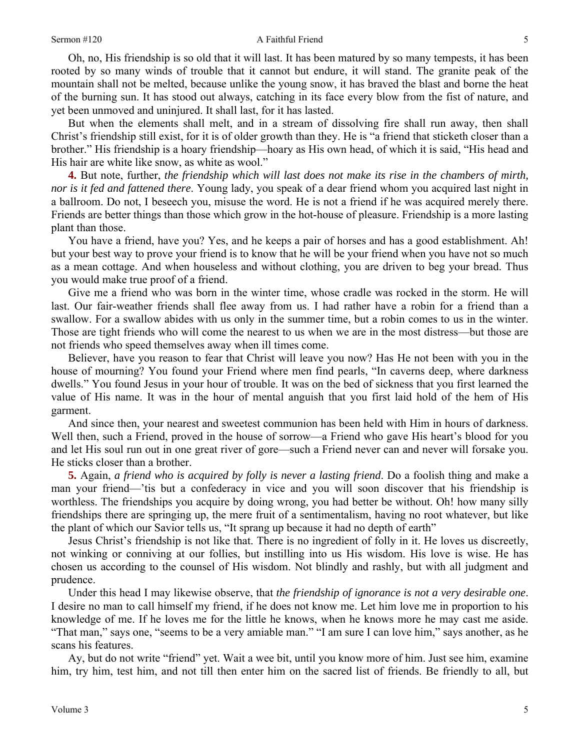#### Sermon #120 A Faithful Friend

Oh, no, His friendship is so old that it will last. It has been matured by so many tempests, it has been rooted by so many winds of trouble that it cannot but endure, it will stand. The granite peak of the mountain shall not be melted, because unlike the young snow, it has braved the blast and borne the heat of the burning sun. It has stood out always, catching in its face every blow from the fist of nature, and yet been unmoved and uninjured. It shall last, for it has lasted.

But when the elements shall melt, and in a stream of dissolving fire shall run away, then shall Christ's friendship still exist, for it is of older growth than they. He is "a friend that sticketh closer than a brother." His friendship is a hoary friendship—hoary as His own head, of which it is said, "His head and His hair are white like snow, as white as wool."

**4.** But note, further, *the friendship which will last does not make its rise in the chambers of mirth, nor is it fed and fattened there*. Young lady, you speak of a dear friend whom you acquired last night in a ballroom. Do not, I beseech you, misuse the word. He is not a friend if he was acquired merely there. Friends are better things than those which grow in the hot-house of pleasure. Friendship is a more lasting plant than those.

You have a friend, have you? Yes, and he keeps a pair of horses and has a good establishment. Ah! but your best way to prove your friend is to know that he will be your friend when you have not so much as a mean cottage. And when houseless and without clothing, you are driven to beg your bread. Thus you would make true proof of a friend.

Give me a friend who was born in the winter time, whose cradle was rocked in the storm. He will last. Our fair-weather friends shall flee away from us. I had rather have a robin for a friend than a swallow. For a swallow abides with us only in the summer time, but a robin comes to us in the winter. Those are tight friends who will come the nearest to us when we are in the most distress—but those are not friends who speed themselves away when ill times come.

Believer, have you reason to fear that Christ will leave you now? Has He not been with you in the house of mourning? You found your Friend where men find pearls, "In caverns deep, where darkness dwells." You found Jesus in your hour of trouble. It was on the bed of sickness that you first learned the value of His name. It was in the hour of mental anguish that you first laid hold of the hem of His garment.

And since then, your nearest and sweetest communion has been held with Him in hours of darkness. Well then, such a Friend, proved in the house of sorrow—a Friend who gave His heart's blood for you and let His soul run out in one great river of gore—such a Friend never can and never will forsake you. He sticks closer than a brother.

**5.** Again, *a friend who is acquired by folly is never a lasting friend*. Do a foolish thing and make a man your friend—'tis but a confederacy in vice and you will soon discover that his friendship is worthless. The friendships you acquire by doing wrong, you had better be without. Oh! how many silly friendships there are springing up, the mere fruit of a sentimentalism, having no root whatever, but like the plant of which our Savior tells us, "It sprang up because it had no depth of earth"

Jesus Christ's friendship is not like that. There is no ingredient of folly in it. He loves us discreetly, not winking or conniving at our follies, but instilling into us His wisdom. His love is wise. He has chosen us according to the counsel of His wisdom. Not blindly and rashly, but with all judgment and prudence.

Under this head I may likewise observe, that *the friendship of ignorance is not a very desirable one*. I desire no man to call himself my friend, if he does not know me. Let him love me in proportion to his knowledge of me. If he loves me for the little he knows, when he knows more he may cast me aside. "That man," says one, "seems to be a very amiable man." "I am sure I can love him," says another, as he scans his features.

Ay, but do not write "friend" yet. Wait a wee bit, until you know more of him. Just see him, examine him, try him, test him, and not till then enter him on the sacred list of friends. Be friendly to all, but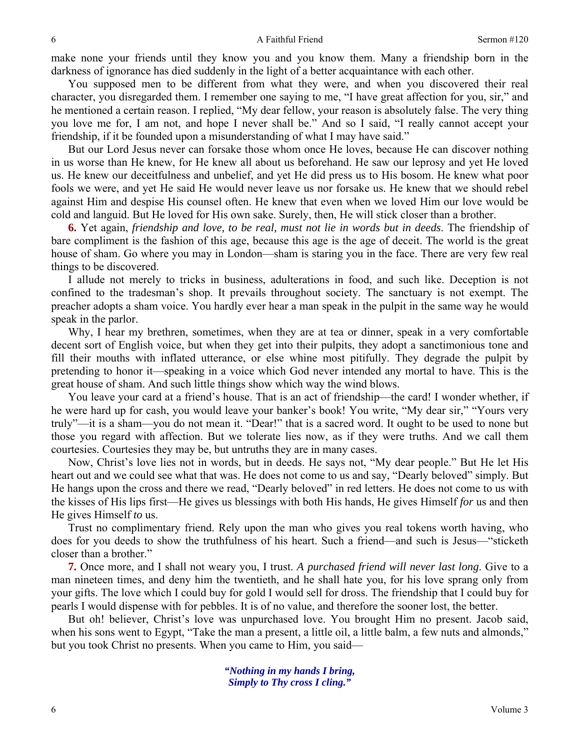make none your friends until they know you and you know them. Many a friendship born in the darkness of ignorance has died suddenly in the light of a better acquaintance with each other.

You supposed men to be different from what they were, and when you discovered their real character, you disregarded them. I remember one saying to me, "I have great affection for you, sir," and he mentioned a certain reason. I replied, "My dear fellow, your reason is absolutely false. The very thing you love me for, I am not, and hope I never shall be." And so I said, "I really cannot accept your friendship, if it be founded upon a misunderstanding of what I may have said."

But our Lord Jesus never can forsake those whom once He loves, because He can discover nothing in us worse than He knew, for He knew all about us beforehand. He saw our leprosy and yet He loved us. He knew our deceitfulness and unbelief, and yet He did press us to His bosom. He knew what poor fools we were, and yet He said He would never leave us nor forsake us. He knew that we should rebel against Him and despise His counsel often. He knew that even when we loved Him our love would be cold and languid. But He loved for His own sake. Surely, then, He will stick closer than a brother.

**6.** Yet again, *friendship and love, to be real, must not lie in words but in deeds*. The friendship of bare compliment is the fashion of this age, because this age is the age of deceit. The world is the great house of sham. Go where you may in London—sham is staring you in the face. There are very few real things to be discovered.

I allude not merely to tricks in business, adulterations in food, and such like. Deception is not confined to the tradesman's shop. It prevails throughout society. The sanctuary is not exempt. The preacher adopts a sham voice. You hardly ever hear a man speak in the pulpit in the same way he would speak in the parlor.

Why, I hear my brethren, sometimes, when they are at tea or dinner, speak in a very comfortable decent sort of English voice, but when they get into their pulpits, they adopt a sanctimonious tone and fill their mouths with inflated utterance, or else whine most pitifully. They degrade the pulpit by pretending to honor it—speaking in a voice which God never intended any mortal to have. This is the great house of sham. And such little things show which way the wind blows.

You leave your card at a friend's house. That is an act of friendship—the card! I wonder whether, if he were hard up for cash, you would leave your banker's book! You write, "My dear sir," "Yours very truly"—it is a sham—you do not mean it. "Dear!" that is a sacred word. It ought to be used to none but those you regard with affection. But we tolerate lies now, as if they were truths. And we call them courtesies. Courtesies they may be, but untruths they are in many cases.

Now, Christ's love lies not in words, but in deeds. He says not, "My dear people." But He let His heart out and we could see what that was. He does not come to us and say, "Dearly beloved" simply. But He hangs upon the cross and there we read, "Dearly beloved" in red letters. He does not come to us with the kisses of His lips first—He gives us blessings with both His hands, He gives Himself *for* us and then He gives Himself *to* us.

Trust no complimentary friend. Rely upon the man who gives you real tokens worth having, who does for you deeds to show the truthfulness of his heart. Such a friend—and such is Jesus—"sticketh closer than a brother."

**7.** Once more, and I shall not weary you, I trust. *A purchased friend will never last long*. Give to a man nineteen times, and deny him the twentieth, and he shall hate you, for his love sprang only from your gifts. The love which I could buy for gold I would sell for dross. The friendship that I could buy for pearls I would dispense with for pebbles. It is of no value, and therefore the sooner lost, the better.

But oh! believer, Christ's love was unpurchased love. You brought Him no present. Jacob said, when his sons went to Egypt, "Take the man a present, a little oil, a little balm, a few nuts and almonds," but you took Christ no presents. When you came to Him, you said—

> *"Nothing in my hands I bring, Simply to Thy cross I cling."*

6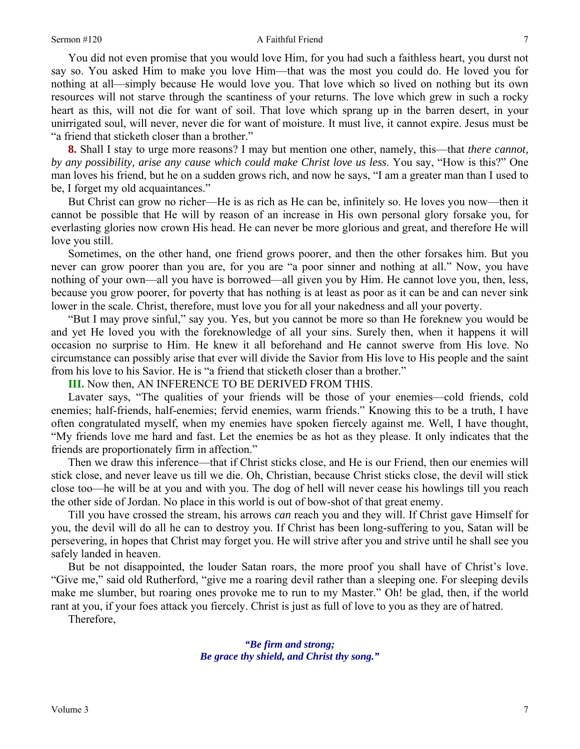#### Sermon #120 A Faithful Friend

You did not even promise that you would love Him, for you had such a faithless heart, you durst not say so. You asked Him to make you love Him—that was the most you could do. He loved you for nothing at all—simply because He would love you. That love which so lived on nothing but its own resources will not starve through the scantiness of your returns. The love which grew in such a rocky heart as this, will not die for want of soil. That love which sprang up in the barren desert, in your unirrigated soul, will never, never die for want of moisture. It must live, it cannot expire. Jesus must be "a friend that sticketh closer than a brother."

**8.** Shall I stay to urge more reasons? I may but mention one other, namely, this—that *there cannot, by any possibility, arise any cause which could make Christ love us less*. You say, "How is this?" One man loves his friend, but he on a sudden grows rich, and now he says, "I am a greater man than I used to be, I forget my old acquaintances."

But Christ can grow no richer—He is as rich as He can be, infinitely so. He loves you now—then it cannot be possible that He will by reason of an increase in His own personal glory forsake you, for everlasting glories now crown His head. He can never be more glorious and great, and therefore He will love you still.

Sometimes, on the other hand, one friend grows poorer, and then the other forsakes him. But you never can grow poorer than you are, for you are "a poor sinner and nothing at all." Now, you have nothing of your own—all you have is borrowed—all given you by Him. He cannot love you, then, less, because you grow poorer, for poverty that has nothing is at least as poor as it can be and can never sink lower in the scale. Christ, therefore, must love you for all your nakedness and all your poverty.

"But I may prove sinful," say you. Yes, but you cannot be more so than He foreknew you would be and yet He loved you with the foreknowledge of all your sins. Surely then, when it happens it will occasion no surprise to Him. He knew it all beforehand and He cannot swerve from His love. No circumstance can possibly arise that ever will divide the Savior from His love to His people and the saint from his love to his Savior. He is "a friend that sticketh closer than a brother."

**III.** Now then, AN INFERENCE TO BE DERIVED FROM THIS.

Lavater says, "The qualities of your friends will be those of your enemies—cold friends, cold enemies; half-friends, half-enemies; fervid enemies, warm friends." Knowing this to be a truth, I have often congratulated myself, when my enemies have spoken fiercely against me. Well, I have thought, "My friends love me hard and fast. Let the enemies be as hot as they please. It only indicates that the friends are proportionately firm in affection."

Then we draw this inference—that if Christ sticks close, and He is our Friend, then our enemies will stick close, and never leave us till we die. Oh, Christian, because Christ sticks close, the devil will stick close too—he will be at you and with you. The dog of hell will never cease his howlings till you reach the other side of Jordan. No place in this world is out of bow-shot of that great enemy.

Till you have crossed the stream, his arrows *can* reach you and they will. If Christ gave Himself for you, the devil will do all he can to destroy you. If Christ has been long-suffering to you, Satan will be persevering, in hopes that Christ may forget you. He will strive after you and strive until he shall see you safely landed in heaven.

But be not disappointed, the louder Satan roars, the more proof you shall have of Christ's love. "Give me," said old Rutherford, "give me a roaring devil rather than a sleeping one. For sleeping devils make me slumber, but roaring ones provoke me to run to my Master." Oh! be glad, then, if the world rant at you, if your foes attack you fiercely. Christ is just as full of love to you as they are of hatred.

Therefore,

## *"Be firm and strong; Be grace thy shield, and Christ thy song."*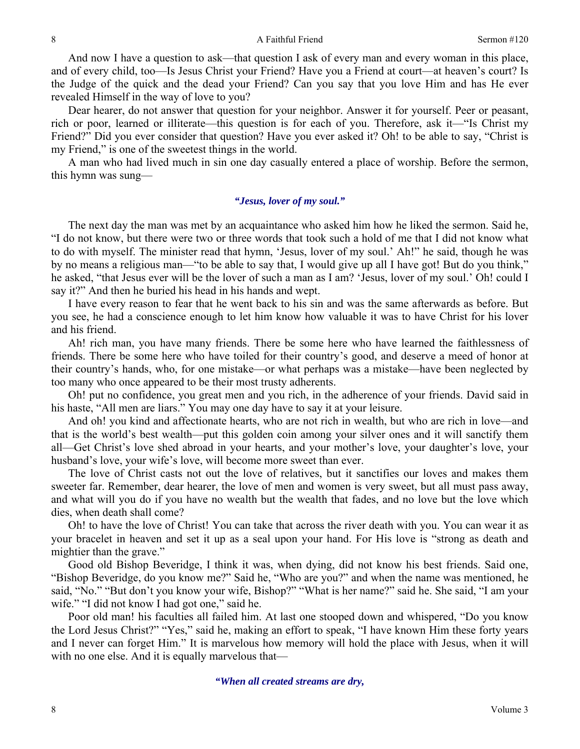And now I have a question to ask—that question I ask of every man and every woman in this place, and of every child, too—Is Jesus Christ your Friend? Have you a Friend at court—at heaven's court? Is the Judge of the quick and the dead your Friend? Can you say that you love Him and has He ever revealed Himself in the way of love to you?

Dear hearer, do not answer that question for your neighbor. Answer it for yourself. Peer or peasant, rich or poor, learned or illiterate—this question is for each of you. Therefore, ask it—"Is Christ my Friend?" Did you ever consider that question? Have you ever asked it? Oh! to be able to say, "Christ is my Friend," is one of the sweetest things in the world.

A man who had lived much in sin one day casually entered a place of worship. Before the sermon, this hymn was sung—

### *"Jesus, lover of my soul."*

The next day the man was met by an acquaintance who asked him how he liked the sermon. Said he, "I do not know, but there were two or three words that took such a hold of me that I did not know what to do with myself. The minister read that hymn, 'Jesus, lover of my soul.' Ah!" he said, though he was by no means a religious man—"to be able to say that, I would give up all I have got! But do you think," he asked, "that Jesus ever will be the lover of such a man as I am? 'Jesus, lover of my soul.' Oh! could I say it?" And then he buried his head in his hands and wept.

I have every reason to fear that he went back to his sin and was the same afterwards as before. But you see, he had a conscience enough to let him know how valuable it was to have Christ for his lover and his friend.

Ah! rich man, you have many friends. There be some here who have learned the faithlessness of friends. There be some here who have toiled for their country's good, and deserve a meed of honor at their country's hands, who, for one mistake—or what perhaps was a mistake—have been neglected by too many who once appeared to be their most trusty adherents.

Oh! put no confidence, you great men and you rich, in the adherence of your friends. David said in his haste, "All men are liars." You may one day have to say it at your leisure.

And oh! you kind and affectionate hearts, who are not rich in wealth, but who are rich in love—and that is the world's best wealth—put this golden coin among your silver ones and it will sanctify them all—Get Christ's love shed abroad in your hearts, and your mother's love, your daughter's love, your husband's love, your wife's love, will become more sweet than ever.

The love of Christ casts not out the love of relatives, but it sanctifies our loves and makes them sweeter far. Remember, dear hearer, the love of men and women is very sweet, but all must pass away, and what will you do if you have no wealth but the wealth that fades, and no love but the love which dies, when death shall come?

Oh! to have the love of Christ! You can take that across the river death with you. You can wear it as your bracelet in heaven and set it up as a seal upon your hand. For His love is "strong as death and mightier than the grave."

Good old Bishop Beveridge, I think it was, when dying, did not know his best friends. Said one, "Bishop Beveridge, do you know me?" Said he, "Who are you?" and when the name was mentioned, he said, "No." "But don't you know your wife, Bishop?" "What is her name?" said he. She said, "I am your wife." "I did not know I had got one," said he.

Poor old man! his faculties all failed him. At last one stooped down and whispered, "Do you know the Lord Jesus Christ?" "Yes," said he, making an effort to speak, "I have known Him these forty years and I never can forget Him." It is marvelous how memory will hold the place with Jesus, when it will with no one else. And it is equally marvelous that—

*"When all created streams are dry,*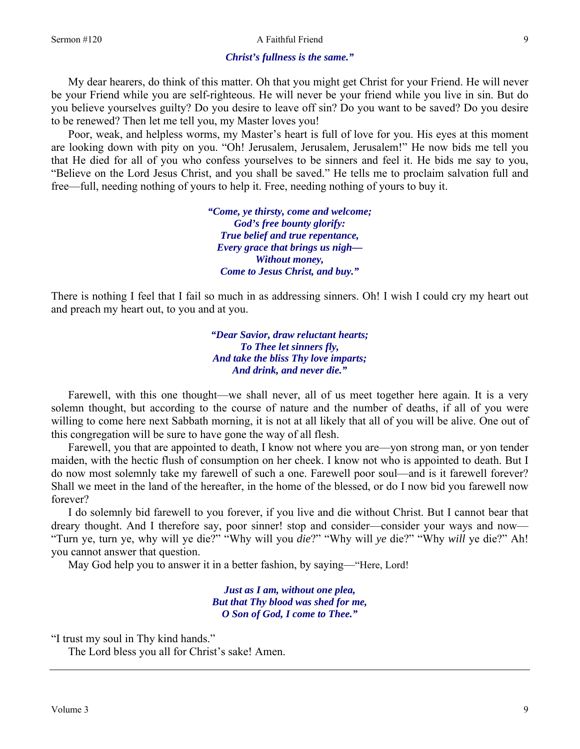#### Sermon #120 A Faithful Friend

### *Christ's fullness is the same."*

My dear hearers, do think of this matter. Oh that you might get Christ for your Friend. He will never be your Friend while you are self-righteous. He will never be your friend while you live in sin. But do you believe yourselves guilty? Do you desire to leave off sin? Do you want to be saved? Do you desire to be renewed? Then let me tell you, my Master loves you!

Poor, weak, and helpless worms, my Master's heart is full of love for you. His eyes at this moment are looking down with pity on you. "Oh! Jerusalem, Jerusalem, Jerusalem!" He now bids me tell you that He died for all of you who confess yourselves to be sinners and feel it. He bids me say to you, "Believe on the Lord Jesus Christ, and you shall be saved." He tells me to proclaim salvation full and free—full, needing nothing of yours to help it. Free, needing nothing of yours to buy it.

> *"Come, ye thirsty, come and welcome; God's free bounty glorify: True belief and true repentance, Every grace that brings us nigh— Without money, Come to Jesus Christ, and buy."*

There is nothing I feel that I fail so much in as addressing sinners. Oh! I wish I could cry my heart out and preach my heart out, to you and at you.

> *"Dear Savior, draw reluctant hearts; To Thee let sinners fly, And take the bliss Thy love imparts; And drink, and never die."*

Farewell, with this one thought—we shall never, all of us meet together here again. It is a very solemn thought, but according to the course of nature and the number of deaths, if all of you were willing to come here next Sabbath morning, it is not at all likely that all of you will be alive. One out of this congregation will be sure to have gone the way of all flesh.

Farewell, you that are appointed to death, I know not where you are—yon strong man, or yon tender maiden, with the hectic flush of consumption on her cheek. I know not who is appointed to death. But I do now most solemnly take my farewell of such a one. Farewell poor soul—and is it farewell forever? Shall we meet in the land of the hereafter, in the home of the blessed, or do I now bid you farewell now forever?

I do solemnly bid farewell to you forever, if you live and die without Christ. But I cannot bear that dreary thought. And I therefore say, poor sinner! stop and consider—consider your ways and now— "Turn ye, turn ye, why will ye die?" "Why will you *die*?" "Why will *ye* die?" "Why *will* ye die?" Ah! you cannot answer that question.

May God help you to answer it in a better fashion, by saying—"Here, Lord!

*Just as I am, without one plea, But that Thy blood was shed for me, O Son of God, I come to Thee."* 

"I trust my soul in Thy kind hands."

The Lord bless you all for Christ's sake! Amen.